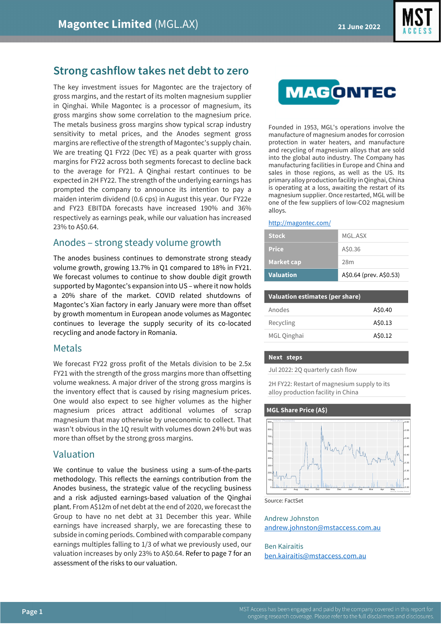

# **Strong cashflow takes net debt to zero**

The key investment issues for Magontec are the trajectory of gross margins, and the restart of its molten magnesium supplier in Qinghai. While Magontec is a processor of magnesium, its gross margins show some correlation to the magnesium price. The metals business gross margins show typical scrap industry sensitivity to metal prices, and the Anodes segment gross margins are reflective of the strength of Magontec's supply chain. We are treating Q1 FY22 (Dec YE) as a peak quarter with gross margins for FY22 across both segments forecast to decline back to the average for FY21. A Qinghai restart continues to be expected in 2H FY22. The strength of the underlying earnings has prompted the company to announce its intention to pay a maiden interim dividend (0.6 cps) in August this year. Our FY22e and FY23 EBITDA forecasts have increased 190% and 36% respectively as earnings peak, while our valuation has increased 23% to A\$0.64.

## Anodes – strong steady volume growth

The anodes business continues to demonstrate strong steady volume growth, growing 13.7% in Q1 compared to 18% in FY21. We forecast volumes to continue to show double digit growth supported by Magontec's expansion into US – where it now holds a 20% share of the market. COVID related shutdowns of Magontec's Xian factory in early January were more than offset by growth momentum in European anode volumes as Magontec continues to leverage the supply security of its co-located recycling and anode factory in Romania.

## Metals

We forecast FY22 gross profit of the Metals division to be 2.5x FY21 with the strength of the gross margins more than offsetting volume weakness. A major driver of the strong gross margins is the inventory effect that is caused by rising magnesium prices. One would also expect to see higher volumes as the higher magnesium prices attract additional volumes of scrap magnesium that may otherwise by uneconomic to collect. That wasn't obvious in the 1Q result with volumes down 24% but was more than offset by the strong gross margins.

## Valuation

We continue to value the business using a sum-of-the-parts methodology. This reflects the earnings contribution from the Anodes business, the strategic value of the recycling business and a risk adjusted earnings-based valuation of the Qinghai plant. From A\$12m of net debt at the end of 2020, we forecast the Group to have no net debt at 31 December this year. While earnings have increased sharply, we are forecasting these to subside in coming periods. Combined with comparable company earnings multiples falling to 1/3 of what we previously used, our valuation increases by only 23% to A\$0.64. Refer to page 7 for an assessment of the risks to our valuation.



Founded in 1953, MGL's operations involve the manufacture of magnesium anodes for corrosion protection in water heaters, and manufacture and recycling of magnesium alloys that are sold into the global auto industry. The Company has manufacturing facilities in Europe and China and sales in those regions, as well as the US. Its primary alloy production facility in Qinghai, China is operating at a loss, awaiting the restart of its magnesium supplier. Once restarted, MGL will be one of the few suppliers of low-CO2 magnesium alloys.

#### <http://magontec.com/>

| A\$0.36<br><b>Price</b> | <b>Market cap</b> | 28m |
|-------------------------|-------------------|-----|
|                         |                   |     |
|                         |                   |     |

| <b>Valuation estimates (per share)</b> |         |
|----------------------------------------|---------|
| Anodes                                 | A\$0.40 |
| Recycling                              | A\$0.13 |
| MGL Qinghai                            | A\$0.12 |

### **Next steps**

Jul 2022: 2Q quarterly cash flow

2H FY22: Restart of magnesium supply to its alloy production facility in China

#### **MGL Share Price (A\$)**



Source: FactSet

Andrew Johnston [andrew.johnston@mstaccess.com.au](mailto:andrew.johnston@mstaccess.com.au)

### Ben Kairaitis [ben.kairaitis@mstaccess.com.au](mailto:ben.kairaitis@mstaccess.com.au)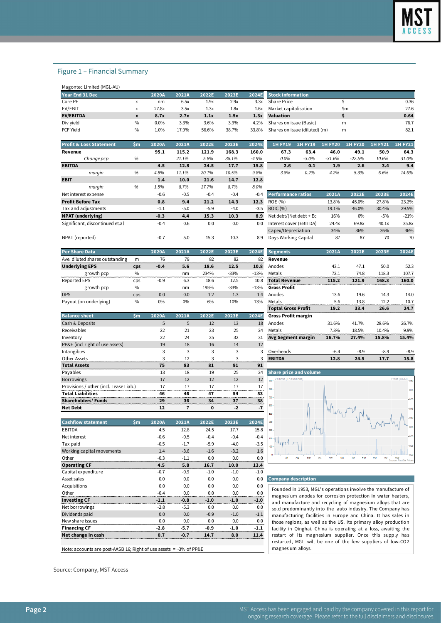### Figure 1 – Financial Summary

| Year End 31 Dec  |      | 2020A   | 2021A | 2022E | 2023E | 2024E | <b>Stock information</b>      |     |      |
|------------------|------|---------|-------|-------|-------|-------|-------------------------------|-----|------|
| Core PE          | x    | nm      | 6.5x  | 1.9x  | 2.9x  | 3.3x  | <b>Share Price</b>            |     | 0.36 |
| EV/EBIT          | x    | 27.8x   | 3.5x  | 1.3x  | 1.8x  | 1.6x  | Market capitalisation         | \$m | 27.6 |
| <b>EV/EBITDA</b> | x    | 8.7x    | 2.7x  | 1.1x  | 1.5x  | 1.3x  | Valuation                     |     | 0.64 |
| Div yield        | $\%$ | $0.0\%$ | 3.3%  | 3.6%  | 3.9%  | 4.2%  | Shares on issue (Basic)       | m   | 76.7 |
| FCF Yield        | $\%$ | 1.0%    | 17.9% | 56.6% | 38.7% | 33.8% | Shares on issue (diluted) (m) | m   | 82.1 |

| <b>Profit &amp; Loss Statement</b> | $\mathsf{Sm}$ | 2020A       | 2021A  | 2022E  | 2023E  | 2024E    | <b>1H FY19</b>          | <b>2H FY19</b> | <b>1H FY20</b> | <b>2H FY20</b> | <b>1H FY21</b> | <b>2H FY21</b> |
|------------------------------------|---------------|-------------|--------|--------|--------|----------|-------------------------|----------------|----------------|----------------|----------------|----------------|
| Revenue                            |               | 95.1        | 115.2  | 121.9  | 168.3  | 160.0    | 67.3                    | 63.4           | 46.0           | 49.1           | 50.9           | 64.3           |
| Change pcp                         | %             |             | 21.1%  | 5.8%   | 38.1%  | $-4.9%$  | $0.0\%$                 | $-3.0\%$       | $-31.6%$       | $-22.5%$       | 10.6%          | 31.0%          |
| <b>EBITDA</b>                      |               | 4.5         | 12.8   | 24.5   | 17.7   | 15.8     | 2.6                     | 0.1            | 1.9            | 2.6            | 3.4            | 9.4            |
| margin                             | %             | 4.8%        | 11.1%  | 20.1%  | 10.5%  | 9.8%     | 3.8%                    | 0.2%           | 4.2%           | 5.3%           | 6.6%           | 14.6%          |
| <b>EBIT</b>                        |               | 1.4         | 10.0   | 21.6   | 14.7   | 12.8     |                         |                |                |                |                |                |
| margin                             | %             | 1.5%        | 8.7%   | 17.7%  | 8.7%   | 8.0%     |                         |                |                |                |                |                |
| Net interest expense               |               | $-0.6$      | $-0.5$ | $-0.4$ | $-0.4$ | $-0.4$   | Performance ratios      |                | 2021A          | 2022E          | 2023E          | 2024E          |
| <b>Profit Before Tax</b>           |               | 0.8         | 9.4    | 21.2   | 14.3   | 12.3     | ROE (%)                 |                | 13.8%          | 45.0%          | 27.8%          | 23.2%          |
| Tax and adjustments                |               | $-1.1$      | $-5.0$ | $-5.9$ | $-4.0$ | $-3.5$   | ROIC (%)                |                | 19.1%          | 46.0%          | 30.4%          | 29.5%          |
| <b>NPAT</b> (underlying)           |               | $-0.3$      | 4.4    | 15.3   | 10.3   | 8.9      | Net debt/(Net debt + Eq |                | 16%            | $0\%$          | $-5%$          | $-21%$         |
| Significant, discontinued et.al    |               | $-0.4$      | 0.6    | 0.0    | 0.0    | 0.0      | Interest cover (EBITDA) |                | 24.4x          | 69.8x          | 40.1x          | 35.8           |
|                                    |               |             |        |        |        |          | Capex/Depreciation      |                | 34%            | 36%            | 36%            | 36%            |
| NDAT (roportod)                    |               | $\bigcap$ 7 | 50     | 152    | 102    | $\Omega$ | Dave Working Capital    |                | Q <sub>7</sub> | Q <sub>7</sub> | 70             | 70             |

| <b>Per Share Data</b>           |      | 2020A  | 2021A | 2022E | 2023E  | 2024E  | <b>Segments</b>      | 2021A | 2022E | 2023E | 2024E |
|---------------------------------|------|--------|-------|-------|--------|--------|----------------------|-------|-------|-------|-------|
| Ave. diluted shares outstanding | m    | 76     | 79    | 82    | 82     | 82     | Revenue              |       |       |       |       |
| <b>Underlying EPS</b>           | cps  | $-0.4$ | 5.6   | 18.6  | 12.5   | 10.8   | Anodes               | 43.1  | 47.1  | 50.0  | 52.3  |
| growth pcp                      | $\%$ |        | nm    | 234%  | $-33%$ | $-13%$ | Metals               | 72.1  | 74.8  | 118.3 | 107.7 |
| Reported EPS                    | cps  | $-0.9$ | 6.3   | 18.6  | 12.5   | 10.8   | <b>Total Revenue</b> | 115.2 | 121.9 | 168.3 | 160.0 |
| growth pcp                      | $\%$ |        | nm    | 195%  | $-33%$ | $-13%$ | Gross Profit         |       |       |       |       |
| <b>DPS</b>                      | cps  | 0.0    | 0.0   | 1.2   | 1.3    | 1.4    | Anodes               | 13.6  | 19.6  | 14.3  | 14.0  |
| Payout (on underlying)          | $\%$ | 0%     | 0%    | 6%    | 10%    | 13%    | Metals               | 5.6   | 13.8  | 12.2  | 10.7  |

| <b>Balance sheet</b>                   | \$m | 2020A | 2021A | 2022E                    | 2023E | 2024E | <b>Gross Profit margin</b>    |        |                          |        |                               |
|----------------------------------------|-----|-------|-------|--------------------------|-------|-------|-------------------------------|--------|--------------------------|--------|-------------------------------|
| Cash & Deposits                        |     | 5     | 5     | 12                       | 13    | 18    | Anodes                        | 31.6%  | 41.7%                    | 28.6%  | 26.7%                         |
| Receivables                            |     | 22    | 21    | 23                       | 25    | 24    | Metals                        | 7.8%   | 18.5%                    | 10.4%  | 9.9%                          |
| Inventory                              |     | 22    | 24    | 25                       | 32    | 31    | Avg Segment margin            | 16.7%  | 27.4%                    | 15.8%  | 15.4%                         |
| PP&E (incl right of use assets)        |     | 19    | 18    | 16                       | 14    | 12    |                               |        |                          |        |                               |
| Intangibles                            |     |       | 3     | 3                        | 3     | 3     | Overheads                     | $-6.4$ | $-8.9$                   | $-8.9$ | $-8.9$                        |
| Other Assets                           |     |       | 12    | $\overline{\phantom{0}}$ | 3     | 3     | <b>EBITDA</b>                 | 12.8   | 24.5                     | 17.7   | 15.8                          |
| <b>Total Assets</b>                    |     | 75    | 83    | 81                       | 91    | 91    |                               |        |                          |        |                               |
| Payables                               |     | 13    | 18    | 19                       | 25    | 24    | <b>Share price and volume</b> |        |                          |        |                               |
| <b>Borrowings</b>                      |     | 17    | 12    | 12                       | 12    | 12    | Volume (Thousands)<br>900     |        |                          |        | Price (AUD) <sub>r</sub> 0.60 |
| Provisions / other (incl. Lease Liab.) |     | 17    | 17    | 17                       | 17    | 17    | 800                           |        |                          |        | 0.55                          |
| <b>Total Liabilities</b>               |     | 46    | 46    | 47                       | 54    | 53    |                               |        |                          |        |                               |
| <b>Shareholders' Funds</b>             |     | 29    | 36    | 34                       | 37    | 38    | 700                           |        |                          |        | $-0.50$                       |
| <b>Net Debt</b>                        |     | 12    | 7     | 0                        | $-2$  | $-7$  | 600                           |        | $\overline{\phantom{a}}$ |        | $-0.45$                       |

| <b>Cashflow statement</b> | \$m | 2020A  | 2021A  | 2022E  | 2023E  | 2024E  |
|---------------------------|-----|--------|--------|--------|--------|--------|
| EBITDA                    |     | 4.5    | 12.8   | 24.5   | 17.7   | 15.8   |
| Net interest              |     | $-0.6$ | $-0.5$ | $-0.4$ | $-0.4$ | $-0.4$ |
| Tax paid                  |     | $-0.5$ | $-1.7$ | $-5.9$ | $-4.0$ | $-3.5$ |
| Working capital movements |     | 1.4    | $-3.6$ | $-1.6$ | $-3.2$ | 1.6    |
| Other                     |     | $-0.3$ | $-1.1$ | 0.0    | 0.0    | 0.0    |
| <b>Operating CF</b>       |     | 4.5    | 5.8    | 16.7   | 10.0   | 13.4   |
| Capital expenditure       |     | $-0.7$ | $-0.9$ | $-1.0$ | $-1.0$ | $-1.0$ |
| Asset sales               |     | 0.0    | 0.0    | 0.0    | 0.0    | 0.0    |
| Acquisitions              |     | 0.0    | 0.0    | 0.0    | 0.0    | 0.0    |
| Other                     |     | $-0.4$ | 0.0    | 0.0    | 0.0    | 0.0    |
| <b>Investing CF</b>       |     | -1.1   | -0.8   | $-1.0$ | $-1.0$ | $-1.0$ |
| Net borrowings            |     | $-2.8$ | $-5.3$ | 0.0    | 0.0    | 0.0    |
| Dividends paid            |     | 0.0    | 0.0    | $-0.9$ | $-1.0$ | $-1.1$ |
| New share issues          |     | n n    | 0.0    | 0 Q    | 0.0    | 0.0    |
| <b>Financing CF</b>       |     | -2.8   | -5.7   | -0.9   | -1.0   | -1.1   |
| Net change in cash        |     | 0.7    | -0.7   | 14.7   | 8.0    |        |

Note: accounts are post-AASB 16; Right of use assets  $=$  ~3% of PP&E

Source: Company, MST Access

| <b>Stock information</b>      |    |      |
|-------------------------------|----|------|
| Share Price                   |    | 0.36 |
| Market capitalisation         | Sm | 27 R |
| Valuation                     |    | 0.64 |
| Shares on issue (Basic)       | m  | 76 7 |
| Shares on issue (diluted) (m) | m  | 821  |
|                               |    |      |

| <b>1H FY19</b> | <b>2H FY19</b> | <b>1H FY20</b> | <b>2H FY20</b> | <b>1H FY21</b> | <b>2H FY21</b> |
|----------------|----------------|----------------|----------------|----------------|----------------|
| 67.3           | 63.4           | 46.0           | 49.1           | 50.9           | 64.3           |
| 0.0%           | $-3.0\%$       | $-31.6\%$      | $-22.5%$       | 10.6%          | 31.0%          |
| 2.6            | 0.1            | 1.9            | 2.6            | 3.4            | 9.4            |
| 3.8%           | 0.2%           | 4.2%           | 5.3%           | 6.6%           | 14.6%          |

| 111919111                       | 70 | 1.J70  | 0.170  | 11.170 | 0.170  | <b>0.U7U</b> |                           |       |       |       |        |
|---------------------------------|----|--------|--------|--------|--------|--------------|---------------------------|-------|-------|-------|--------|
| Net interest expense            |    | $-0.6$ | $-0.5$ | $-0.4$ | $-0.4$ | $-0.4$       | <b>Performance ratios</b> | 2021A | 2022E | 2023E | 2024E  |
| <b>Profit Before Tax</b>        |    | 0.8    | 9.4    | 21.2   | 14.3   | 12.3         | ROE (%)                   | 13.8% | 45.0% | 27.8% | 23.2%  |
| Tax and adjustments             |    | $-1.1$ | $-5.0$ | $-5.9$ | $-4.0$ | $-3.5$       | <b>ROIC</b> (%)           | 19.1% | 46.0% | 30.4% | 29.5%  |
| NPAT (underlying)               |    | $-0.3$ | 4.4    | 15.3   | 10.3   | 8.9          | Net debt/(Net debt + Eq   | 16%   | 0%    | $-5%$ | $-21%$ |
| Significant, discontinued et.al |    | $-0.4$ | 0.6    | 0.0    | 0.0    | 0.0          | Interest cover (EBITDA)   | 24.4x | 69.8x | 40.1x | 35.8x  |
|                                 |    |        |        |        |        |              | Capex/Depreciation        | 34%   | 36%   | 36%   | 36%    |
| NPAT (reported)                 |    | $-0.7$ | 5.0    | 15.3   | 10.3   | 8.9          | Days Working Capital      | 87    | 87    | 70    | 70     |

| <b>Segments</b>            | 2021A | 2022E | 2023E | 2024E |
|----------------------------|-------|-------|-------|-------|
| Revenue                    |       |       |       |       |
| Anodes                     | 43.1  | 47.1  | 50.0  | 52.3  |
| Metals                     | 72.1  | 74.8  | 118.3 | 107.7 |
| <b>Total Revenue</b>       | 115.2 | 121.9 | 168.3 | 160.0 |
| <b>Gross Profit</b>        |       |       |       |       |
| Anodes                     | 13.6  | 19.6  | 14.3  | 14.0  |
| Metals                     | 5.6   | 13.8  | 12.2  | 10.7  |
| <b>Toptal Gross Profit</b> | 19.2  | 33.4  | 26.6  | 24.7  |
| <b>Gross Profit margin</b> |       |       |       |       |
| Anodes                     | 31.6% | 41.7% | 28.6% | 26.7% |
| Metals                     | 7.8%  | 18.5% | 10.4% | 9.9%  |
| Avg Segment margin         | 16.7% | 27.4% | 15.8% | 15.4% |
|                            |       |       |       |       |
| Overheads                  | -64   | -89   | -89   | -89   |







#### **Company description**

Founded in 1953, MGL's operations involve the manufacture of magnesium anodes for corrosion protection in wa ter heaters, and manufacture and recycling of magnesium alloys that are sold predominantly into the auto industry. The Company ha s manufacturing facilities in Europe and China. It has sales in those regions, as well as the US. Its primary alloy production facility in Qinghai, China is operating at a loss, awaiting the restart of its magnesium supplier. Once this supply has restarted, MGL will be one of the few suppliers of low-CO2 magnesium alloys.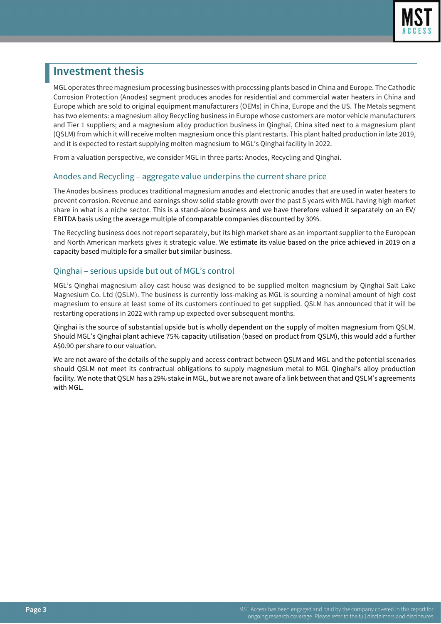

# **Investment thesis**

MGL operates three magnesium processing businesses with processing plants based in China and Europe. The Cathodic Corrosion Protection (Anodes) segment produces anodes for residential and commercial water heaters in China and Europe which are sold to original equipment manufacturers (OEMs) in China, Europe and the US. The Metals segment has two elements: a magnesium alloy Recycling business in Europe whose customers are motor vehicle manufacturers and Tier 1 suppliers; and a magnesium alloy production business in Qinghai, China sited next to a magnesium plant (QSLM) from which it will receive molten magnesium once this plant restarts. This plant halted production in late 2019, and it is expected to restart supplying molten magnesium to MGL's Qinghai facility in 2022.

From a valuation perspective, we consider MGL in three parts: Anodes, Recycling and Qinghai.

### Anodes and Recycling – aggregate value underpins the current share price

The Anodes business produces traditional magnesium anodes and electronic anodes that are used in water heaters to prevent corrosion. Revenue and earnings show solid stable growth over the past 5 years with MGL having high market share in what is a niche sector. This is a stand-alone business and we have therefore valued it separately on an EV/ EBITDA basis using the average multiple of comparable companies discounted by 30%.

The Recycling business does not report separately, but its high market share as an important supplier to the European and North American markets gives it strategic value. We estimate its value based on the price achieved in 2019 on a capacity based multiple for a smaller but similar business.

## Qinghai – serious upside but out of MGL's control

MGL's Qinghai magnesium alloy cast house was designed to be supplied molten magnesium by Qinghai Salt Lake Magnesium Co. Ltd (QSLM). The business is currently loss-making as MGL is sourcing a nominal amount of high cost magnesium to ensure at least some of its customers continued to get supplied. QSLM has announced that it will be restarting operations in 2022 with ramp up expected over subsequent months.

Qinghai is the source of substantial upside but is wholly dependent on the supply of molten magnesium from QSLM. Should MGL's Qinghai plant achieve 75% capacity utilisation (based on product from QSLM), this would add a further A\$0.90 per share to our valuation.

We are not aware of the details of the supply and access contract between QSLM and MGL and the potential scenarios should QSLM not meet its contractual obligations to supply magnesium metal to MGL Qinghai's alloy production facility. We note that QSLM has a 29% stake in MGL, but we are not aware of a link between that and QSLM's agreements with MGL.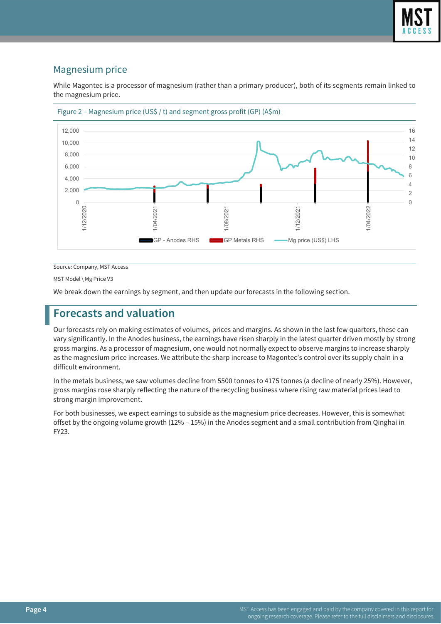

## Magnesium price

While Magontec is a processor of magnesium (rather than a primary producer), both of its segments remain linked to the magnesium price.





Source: Company, MST Access

MST Model \ Mg Price V3

We break down the earnings by segment, and then update our forecasts in the following section.

# **Forecasts and valuation**

Our forecasts rely on making estimates of volumes, prices and margins. As shown in the last few quarters, these can vary significantly. In the Anodes business, the earnings have risen sharply in the latest quarter driven mostly by strong gross margins. As a processor of magnesium, one would not normally expect to observe margins to increase sharply as the magnesium price increases. We attribute the sharp increase to Magontec's control over its supply chain in a difficult environment.

In the metals business, we saw volumes decline from 5500 tonnes to 4175 tonnes (a decline of nearly 25%). However, gross margins rose sharply reflecting the nature of the recycling business where rising raw material prices lead to strong margin improvement.

For both businesses, we expect earnings to subside as the magnesium price decreases. However, this is somewhat offset by the ongoing volume growth (12% – 15%) in the Anodes segment and a small contribution from Qinghai in FY23.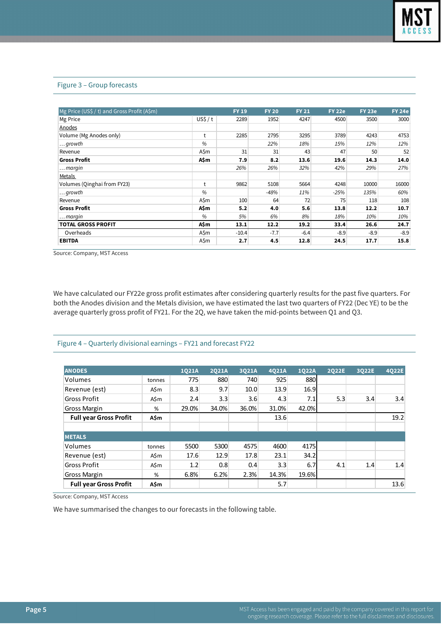#### Figure 3 – Group forecasts

| Mg Price (US\$ / t) and Gross Profit (A\$m) |       | <b>FY 19</b> | <b>FY 20</b> | <b>FY 21</b> | <b>FY 22e</b> | <b>FY 23e</b> | <b>FY 24e</b> |
|---------------------------------------------|-------|--------------|--------------|--------------|---------------|---------------|---------------|
| Mg Price                                    | USS/t | 2289         | 1952         | 4247         | 4500          | 3500          | 3000          |
| Anodes                                      |       |              |              |              |               |               |               |
| Volume (Mg Anodes only)                     | t     | 2285         | 2795         | 3295         | 3789          | 4243          | 4753          |
| $\ldots$ growth                             | %     |              | 22%          | 18%          | 15%           | 12%           | 12%           |
| Revenue                                     | A\$m  | 31           | 31           | 43           | 47            | 50            | 52            |
| <b>Gross Profit</b>                         | A\$m  | 7.9          | 8.2          | 13.6         | 19.6          | 14.3          | 14.0          |
| $\ldots$ margin                             |       | 26%          | 26%          | 32%          | 42%           | 29%           | 27%           |
| Metals                                      |       |              |              |              |               |               |               |
| Volumes (Oinghai from FY23)                 | t     | 9862         | 5108         | 5664         | 4248          | 10000         | 16000         |
| $\ldots$ growth                             | %     |              | -48%         | 11%          | $-25%$        | 135%          | 60%           |
| Revenue                                     | A\$m  | 100          | 64           | 72           | 75            | 118           | 108           |
| <b>Gross Profit</b>                         | A\$m  | 5.2          | 4.0          | 5.6          | 13.8          | 12.2          | 10.7          |
| $\ldots$ margin                             | %     | 5%           | 6%           | 8%           | 18%           | 10%           | 10%           |
| <b>TOTAL GROSS PROFIT</b>                   | A\$m  | 13.1         | 12.2         | 19.2         | 33.4          | 26.6          | 24.7          |
| Overheads                                   | A\$m  | $-10.4$      | $-7.7$       | $-6.4$       | $-8.9$        | $-8.9$        | $-8.9$        |
| <b>EBITDA</b>                               | A\$m  | 2.7          | 4.5          | 12.8         | 24.5          | 17.7          | 15.8          |

Source: Company, MST Access

We have calculated our FY22e gross profit estimates after considering quarterly results for the past five quarters. For both the Anodes division and the Metals division, we have estimated the last two quarters of FY22 (Dec YE) to be the average quarterly gross profit of FY21. For the 2Q, we have taken the mid-points between Q1 and Q3.

### Figure 4 – Quarterly divisional earnings – FY21 and forecast FY22

| <b>ANODES</b>                 |        | 1021A | 2021A | 3021A | 4021A | 1022A | 2022E | 3022E | 4Q22E |
|-------------------------------|--------|-------|-------|-------|-------|-------|-------|-------|-------|
| Volumes                       | tonnes | 775   | 880   | 740   | 925   | 880   |       |       |       |
| Revenue (est)                 | A\$m   | 8.3   | 9.7   | 10.0  | 13.9  | 16.9  |       |       |       |
| <b>Gross Profit</b>           | A\$m   | 2.4   | 3.3   | 3.6   | 4.3   | 7.1   | 5.3   | 3.4   | 3.4   |
| Gross Margin                  | %      | 29.0% | 34.0% | 36.0% | 31.0% | 42.0% |       |       |       |
| <b>Full year Gross Profit</b> | A\$m   |       |       |       | 13.6  |       |       |       | 19.2  |
|                               |        |       |       |       |       |       |       |       |       |
| <b>METALS</b>                 |        |       |       |       |       |       |       |       |       |
| Volumes                       | tonnes | 5500  | 5300  | 4575  | 4600  | 4175  |       |       |       |
| Revenue (est)                 | A\$m   | 17.6  | 12.9  | 17.8  | 23.1  | 34.2  |       |       |       |
| <b>Gross Profit</b>           | A\$m   | 1.2   | 0.8   | 0.4   | 3.3   | 6.7   | 4.1   | 1.4   | 1.4   |
| Gross Margin                  | %      | 6.8%  | 6.2%  | 2.3%  | 14.3% | 19.6% |       |       |       |
| <b>Full year Gross Profit</b> | A\$m   |       |       |       | 5.7   |       |       |       | 13.6  |

Source: Company, MST Access

We have summarised the changes to our forecasts in the following table.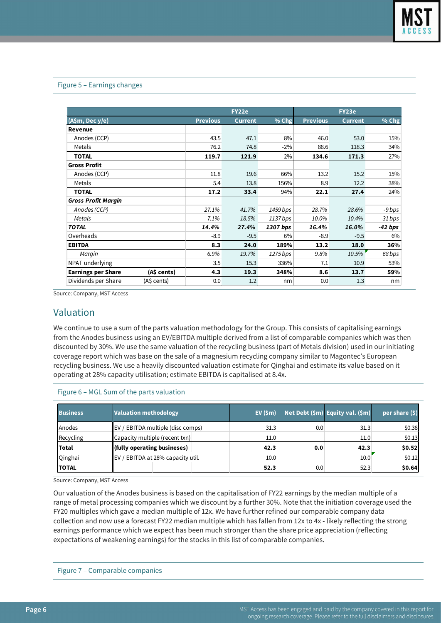### Figure 5 – Earnings changes

|                            |             | <b>FY22e</b>    |                | FY23e    |                 |                |           |
|----------------------------|-------------|-----------------|----------------|----------|-----------------|----------------|-----------|
| (A\$m, Dec y/e)            |             | <b>Previous</b> | <b>Current</b> | $%$ Chg  | <b>Previous</b> | <b>Current</b> | % Chg     |
| <b>Revenue</b>             |             |                 |                |          |                 |                |           |
| Anodes (CCP)               |             | 43.5            | 47.1           | 8%       | 46.0            | 53.0           | 15%       |
| Metals                     |             | 76.2            | 74.8           | $-2\%$   | 88.6            | 118.3          | 34%       |
| <b>TOTAL</b>               |             | 119.7           | 121.9          | 2%       | 134.6           | 171.3          | 27%       |
| <b>Gross Profit</b>        |             |                 |                |          |                 |                |           |
| Anodes (CCP)               |             | 11.8            | 19.6           | 66%      | 13.2            | 15.2           | 15%       |
| Metals                     |             | 5.4             | 13.8           | 156%     | 8.9             | 12.2           | 38%       |
| <b>TOTAL</b>               |             | 17.2            | 33.4           | 94%      | 22.1            | 27.4           | 24%       |
| <b>Gross Profit Margin</b> |             |                 |                |          |                 |                |           |
| Anodes (CCP)               |             | 27.1%           | 41.7%          | 1459 bps | 28.7%           | 28.6%          | -9 bps    |
| Metals                     |             | 7.1%            | 18.5%          | 1137 bps | 10.0%           | 10.4%          | 31 bps    |
| <b>TOTAL</b>               |             | 14.4%           | 27.4%          | 1307 bps | 16.4%           | 16.0%          | $-42$ bps |
| Overheads                  |             | $-8.9$          | $-9.5$         | 6%       | $-8.9$          | $-9.5$         | 6%        |
| <b>EBITDA</b>              |             | 8.3             | 24.0           | 189%     | 13.2            | 18.0           | 36%       |
| Margin                     |             | 6.9%            | 19.7%          | 1275 bps | 9.8%            | 10.5%          | 68 bps    |
| NPAT underlying            |             | 3.5             | 15.3           | 336%     | 7.1             | 10.9           | 53%       |
| <b>Earnings per Share</b>  | (A\$ cents) | 4.3             | 19.3           | 348%     | 8.6             | 13.7           | 59%       |
| Dividends per Share        | (A\$ cents) | 0.0             | 1.2            | nm       | 0.0             | 1.3            | nm        |

Source: Company, MST Access

## Valuation

We continue to use a sum of the parts valuation methodology for the Group. This consists of capitalising earnings from the Anodes business using an EV/EBITDA multiple derived from a list of comparable companies which was then discounted by 30%. We use the same valuation of the recycling business (part of Metals division) used in our initiating coverage report which was base on the sale of a magnesium recycling company similar to Magontec's European recycling business. We use a heavily discounted valuation estimate for Qinghai and estimate its value based on it operating at 28% capacity utilisation; estimate EBITDA is capitalised at 8.4x.

| <b>Business</b> | <b>Valuation methodology</b>         | EV(5m) |     | Net Debt (\$m) Equity val. (\$m) | per share $(5)$ |
|-----------------|--------------------------------------|--------|-----|----------------------------------|-----------------|
| Anodes          | EV / EBITDA multiple (disc comps)    | 31.3   | 0.0 | 31.3                             | \$0.38          |
| Recycling       | Capacity multiple (recent txn)       | 11.0   |     | 11.0                             | \$0.13          |
| <b>Total</b>    | (fully operating busineses)          | 42.3   | 0.0 | 42.3                             | \$0.52          |
| Qinghai         | EBITDA at 28% capacity util.<br>EV / | 10.0   |     | 10.0                             | \$0.12          |
| <b>TOTAL</b>    |                                      | 52.3   | 0.0 | 52.3                             | \$0.64          |

### Figure 6 – MGL Sum of the parts valuation

Source[: Company,](https://www.acea.auto/figure/eu-passenger-car-production/) MST Access

Our valuation of the Anodes business is based on the capitalisation of FY22 earnings by the median multiple of a range of metal processing companies which we discount by a further 30%. Note that the initiation coverage used the FY20 multiples which gave a median multiple of 12x. We have further refined our comparable company data collection and now use a forecast FY22 median multiple which has fallen from 12x to 4x - likely reflecting the strong earnings performance which we expect has been much stronger than the share price appreciation (reflecting expectations of weakening earnings) for the stocks in this list of comparable companies.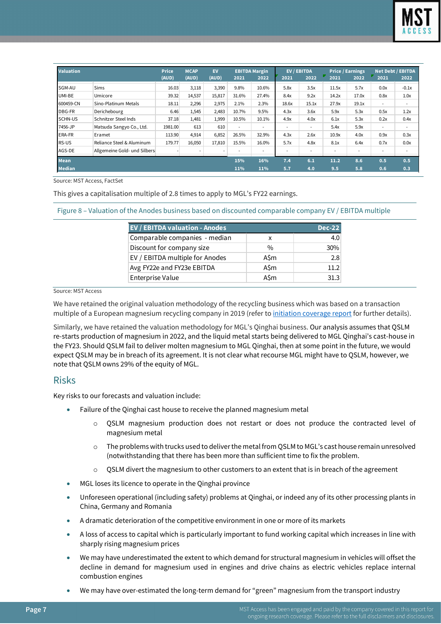

| <b>Valuation</b> |                              | <b>Price</b> | <b>MCAP</b> | <b>EV</b> |                          | <b>EBITDA Margin</b>     |                          | <b>EV / EBITDA</b> |       | <b>Price / Earnings</b>  |                          | <b>Net Debt / EBITDA</b> |
|------------------|------------------------------|--------------|-------------|-----------|--------------------------|--------------------------|--------------------------|--------------------|-------|--------------------------|--------------------------|--------------------------|
|                  |                              | (AUD)        | (AUD)       | (AUD)     | 2021                     | 2022                     | 2021                     | 2022               | 2021  | 2022                     | 2021                     | 2022                     |
| SGM-AU           | <b>Sims</b>                  | 16.03        | 3,118       | 3,390     | 9.8%                     | 10.6%                    | 5.8x                     | 3.5x               | 11.5x | 5.7x                     | 0.0x                     | $-0.1x$                  |
| UMI-BE           | Umicore                      | 39.32        | 14,537      | 15,817    | 31.6%                    | 27.4%                    | 8.4x                     | 9.2x               | 14.2x | 17.0x                    | 0.8x                     | 1.0x                     |
| 600459-CN        | Sino-Platinum Metals         | 18.11        | 2,296       | 2,975     | 2.1%                     | 2.3%                     | 18.6x                    | 15.1x              | 27.9x | 19.1x                    | $\overline{\phantom{a}}$ | ۰.                       |
| <b>DBG-FR</b>    | Derichebourg                 | 6.46         | 1,545       | 2,483     | 10.7%                    | 9.5%                     | 4.3x                     | 3.6x               | 5.9x  | 5.3x                     | 0.5x                     | 1.2x                     |
| <b>SCHN-US</b>   | Schnitzer Steel Inds         | 37.18        | 1,481       | 1,999     | 10.5%                    | 10.1%                    | 4.9x                     | 4.0x               | 6.1x  | 5.3x                     | 0.2x                     | 0.4x                     |
| 7456-JP          | Matsuda Sangyo Co., Ltd.     | 1981.00      | 613         | 610       | $\overline{\phantom{a}}$ | $\overline{\phantom{a}}$ | $\overline{\phantom{a}}$ | ۰                  | 5.4x  | 5.9x                     | $\overline{\phantom{a}}$ | $\overline{\phantom{a}}$ |
| <b>ERA-FR</b>    | Eramet                       | 113.90       | 4,914       | 6,852     | 26.5%                    | 32.9%                    | 4.3x                     | 2.6x               | 10.9x | 4.0x                     | 0.9x                     | 0.3x                     |
| RS-US            | Reliance Steel & Aluminum    | 179.77       | 16,050      | 17,810    | 15.5%                    | 16.0%                    | 5.7x                     | 4.8x               | 8.1x  | 6.4x                     | 0.7x                     | 0.0x                     |
| AGS-DE           | Allgemeine Gold- und Silbers |              |             | $\sim$    |                          | $\overline{\phantom{a}}$ |                          | ۰                  | ۰     | $\overline{\phantom{a}}$ |                          |                          |
| <b>Mean</b>      |                              |              |             |           | 15%                      | 16%                      | 7.4                      | 6.1                | 11.2  | 8.6                      | 0.5                      | 0.5                      |
| <b>Median</b>    |                              |              |             |           | 11%                      | 11%                      | 5.7                      | 4.0                | 9.5   | 5.8                      | 0.6                      | 0.3                      |

Source: MST Access, FactSet

This gives a capitalisation multiple of 2.8 times to apply to MGL's FY22 earnings.

Figure 8 – Valuation of the Anodes business based on discounted comparable company EV / EBITDA multiple

| <b>EV / EBITDA valuation - Anodes</b> |               | <b>Dec-22</b> |
|---------------------------------------|---------------|---------------|
| Comparable companies - median         | x             | 4.0           |
| Discount for company size             | $\frac{0}{0}$ | 30%           |
| EV / EBITDA multiple for Anodes       | A\$m          | 2.8           |
| Avg FY22e and FY23e EBITDA            | A\$m          | 11.2          |
| Enterprise Value                      | <b>A</b> Sm   | 31.3          |

Source: MST Access

We have retained the original valuation methodology of the recycling business which was based on a transaction multiple of a European magnesium recycling company in 2019 (refer t[o initiation coverage](https://www.mstaccess.com.au/dd/mstresearch/6228/1) report for further details).

Similarly, we have retained the valuation methodology for MGL's Qinghai business. Our analysis assumes that QSLM re-starts production of magnesium in 2022, and the liquid metal starts being delivered to MGL Qinghai's cast-house in the FY23. Should QSLM fail to deliver molten magnesium to MGL Qinghai, then at some point in the future, we would expect QSLM may be in breach of its agreement. It is not clear what recourse MGL might have to QSLM, however, we note that QSLM owns 29% of the equity of MGL.

## Risks

Key risks to our forecasts and valuation include:

- Failure of the Qinghai cast house to receive the planned magnesium metal
	- $\circ$  QSLM magnesium production does not restart or does not produce the contracted level of magnesium metal
	- o The problems with trucks used to deliver the metal from QSLM to MGL's cast house remain unresolved (notwithstanding that there has been more than sufficient time to fix the problem.
	- $\circ$  QSLM divert the magnesium to other customers to an extent that is in breach of the agreement
- MGL loses its licence to operate in the Qinghai province
- Unforeseen operational (including safety) problems at Qinghai, or indeed any of its other processing plants in China, Germany and Romania
- A dramatic deterioration of the competitive environment in one or more of its markets
- A loss of access to capital which is particularly important to fund working capital which increases in line with sharply rising magnesium prices
- We may have underestimated the extent to which demand for structural magnesium in vehicles will offset the decline in demand for magnesium used in engines and drive chains as electric vehicles replace internal combustion engines
- We may have over-estimated the long-term demand for "green" magnesium from the transport industry